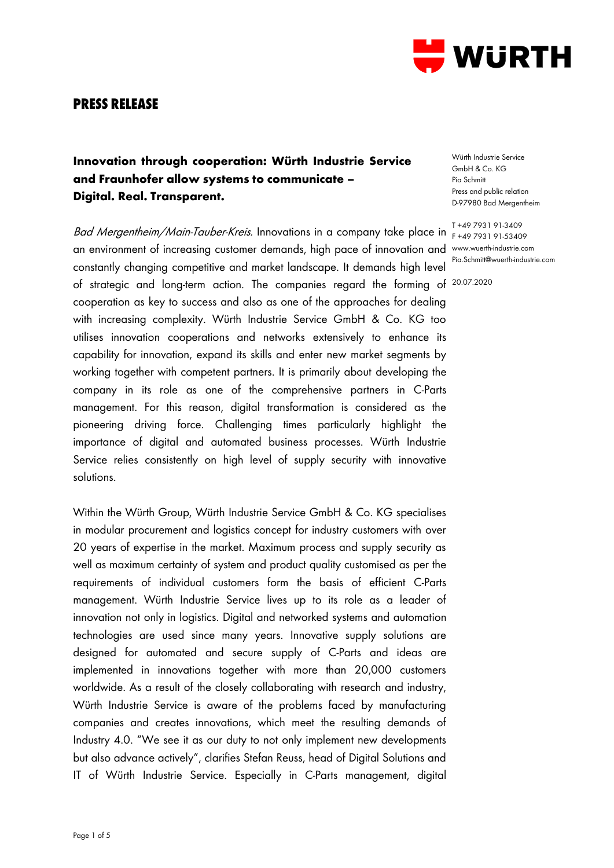

## **PRESS RELEASE**

# **Innovation through cooperation: Würth Industrie Service and Fraunhofer allow systems to communicate – Digital. Real. Transparent.**

B*ad Mergentheim/Main-Tauber-Kreis.* Innovations in a company take place in T+49.7931.91-3409 an environment of increasing customer demands, high pace of innovation and www.wuerth-industrie.com constantly changing competitive and market landscape. It demands high level of strategic and long-term action. The companies regard the forming of 20.07.2020cooperation as key to success and also as one of the approaches for dealing with increasing complexity. Würth Industrie Service GmbH & Co. KG too utilises innovation cooperations and networks extensively to enhance its capability for innovation, expand its skills and enter new market segments by working together with competent partners. It is primarily about developing the company in its role as one of the comprehensive partners in C-Parts management. For this reason, digital transformation is considered as the pioneering driving force. Challenging times particularly highlight the importance of digital and automated business processes. Würth Industrie Service relies consistently on high level of supply security with innovative solutions.

Within the Würth Group, Würth Industrie Service GmbH & Co. KG specialises in modular procurement and logistics concept for industry customers with over 20 years of expertise in the market. Maximum process and supply security as well as maximum certainty of system and product quality customised as per the requirements of individual customers form the basis of efficient C-Parts management. Würth Industrie Service lives up to its role as a leader of innovation not only in logistics. Digital and networked systems and automation technologies are used since many years. Innovative supply solutions are designed for automated and secure supply of C-Parts and ideas are implemented in innovations together with more than 20,000 customers worldwide. As a result of the closely collaborating with research and industry, Würth Industrie Service is aware of the problems faced by manufacturing companies and creates innovations, which meet the resulting demands of Industry 4.0. "We see it as our duty to not only implement new developments but also advance actively", clarifies Stefan Reuss, head of Digital Solutions and IT of Würth Industrie Service. Especially in C-Parts management, digital

Würth Industrie Service GmbH & Co. KG Pia Schmitt Press and public relation D-97980 Bad Mergentheim

F +49 7931 91-53409 Pia.Schmitt@wuerth-industrie.com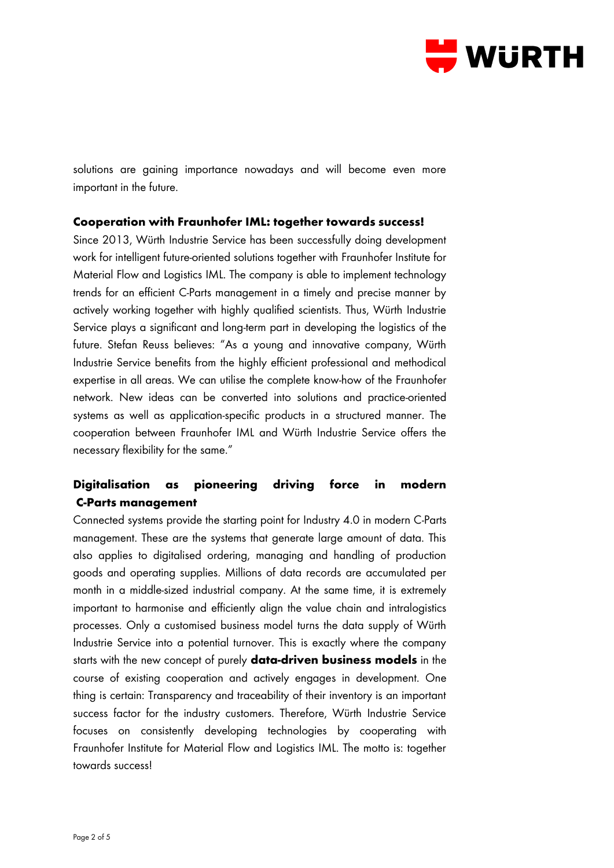

solutions are gaining importance nowadays and will become even more important in the future.

#### **Cooperation with Fraunhofer IML: together towards success!**

Since 2013, Würth Industrie Service has been successfully doing development work for intelligent future-oriented solutions together with Fraunhofer Institute for Material Flow and Logistics IML. The company is able to implement technology trends for an efficient C-Parts management in a timely and precise manner by actively working together with highly qualified scientists. Thus, Würth Industrie Service plays a significant and long-term part in developing the logistics of the future. Stefan Reuss believes: "As a young and innovative company, Würth Industrie Service benefits from the highly efficient professional and methodical expertise in all areas. We can utilise the complete know-how of the Fraunhofer network. New ideas can be converted into solutions and practice-oriented systems as well as application-specific products in a structured manner. The cooperation between Fraunhofer IML and Würth Industrie Service offers the necessary flexibility for the same."

## **Digitalisation as pioneering driving force in modern C-Parts management**

Connected systems provide the starting point for Industry 4.0 in modern C-Parts management. These are the systems that generate large amount of data. This also applies to digitalised ordering, managing and handling of production goods and operating supplies. Millions of data records are accumulated per month in a middle-sized industrial company. At the same time, it is extremely important to harmonise and efficiently align the value chain and intralogistics processes. Only a customised business model turns the data supply of Würth Industrie Service into a potential turnover. This is exactly where the company starts with the new concept of purely **data-driven business models** in the course of existing cooperation and actively engages in development. One thing is certain: Transparency and traceability of their inventory is an important success factor for the industry customers. Therefore, Würth Industrie Service focuses on consistently developing technologies by cooperating with Fraunhofer Institute for Material Flow and Logistics IML. The motto is: together towards success!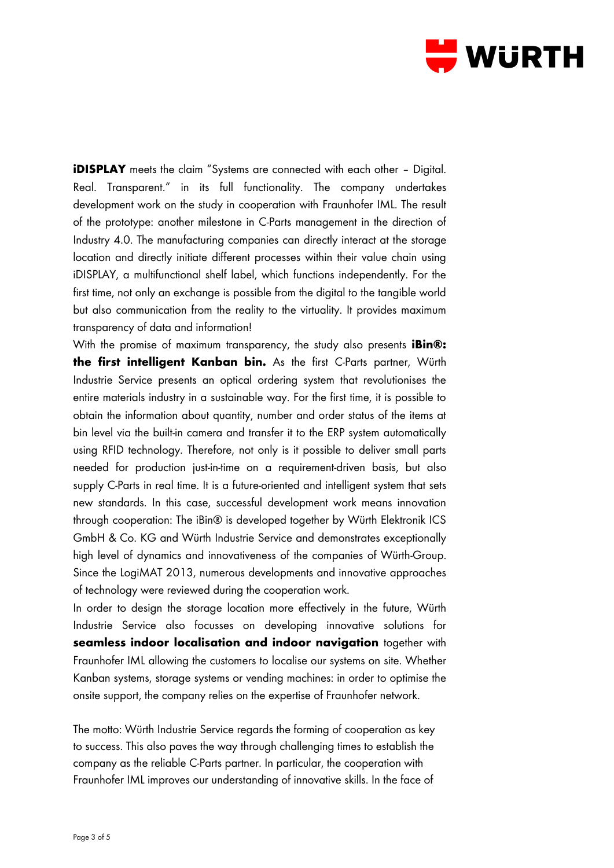

**iDISPLAY** meets the claim "Systems are connected with each other - Digital. Real. Transparent." in its full functionality. The company undertakes development work on the study in cooperation with Fraunhofer IML. The result of the prototype: another milestone in C-Parts management in the direction of Industry 4.0. The manufacturing companies can directly interact at the storage location and directly initiate different processes within their value chain using iDISPLAY, a multifunctional shelf label, which functions independently. For the first time, not only an exchange is possible from the digital to the tangible world but also communication from the reality to the virtuality. It provides maximum transparency of data and information!

With the promise of maximum transparency, the study also presents **iBin®: the first intelligent Kanban bin.** As the first C-Parts partner, Würth Industrie Service presents an optical ordering system that revolutionises the entire materials industry in a sustainable way. For the first time, it is possible to obtain the information about quantity, number and order status of the items at bin level via the built-in camera and transfer it to the ERP system automatically using RFID technology. Therefore, not only is it possible to deliver small parts needed for production just-in-time on a requirement-driven basis, but also supply C-Parts in real time. It is a future-oriented and intelligent system that sets new standards. In this case, successful development work means innovation through cooperation: The iBin® is developed together by Würth Elektronik ICS GmbH & Co. KG and Würth Industrie Service and demonstrates exceptionally high level of dynamics and innovativeness of the companies of Würth-Group. Since the LogiMAT 2013, numerous developments and innovative approaches of technology were reviewed during the cooperation work.

In order to design the storage location more effectively in the future, Würth Industrie Service also focusses on developing innovative solutions for **seamless indoor localisation and indoor navigation** together with Fraunhofer IML allowing the customers to localise our systems on site. Whether Kanban systems, storage systems or vending machines: in order to optimise the onsite support, the company relies on the expertise of Fraunhofer network.

The motto: Würth Industrie Service regards the forming of cooperation as key to success. This also paves the way through challenging times to establish the company as the reliable C-Parts partner. In particular, the cooperation with Fraunhofer IML improves our understanding of innovative skills. In the face of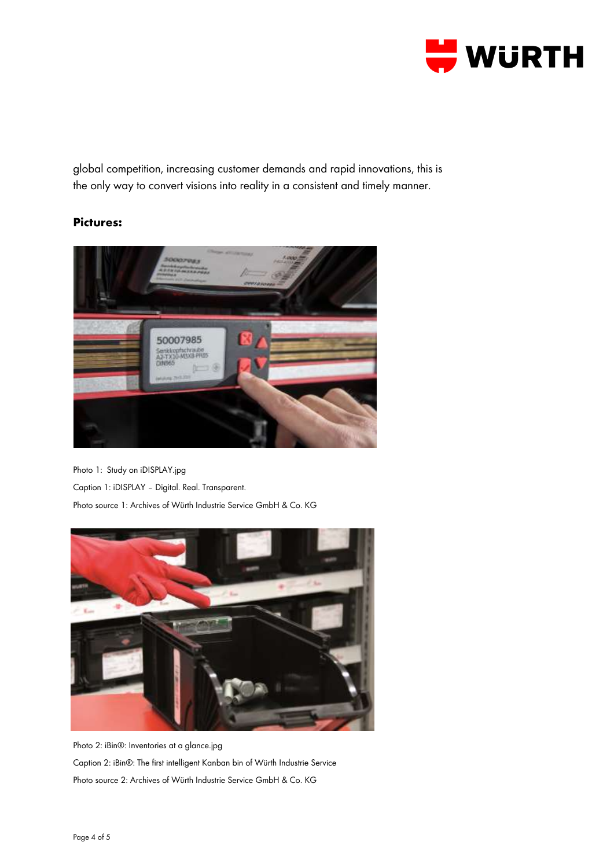

global competition, increasing customer demands and rapid innovations, this is the only way to convert visions into reality in a consistent and timely manner.

### **Pictures:**



Photo 1: Study on iDISPLAY.jpg Caption 1: iDISPLAY – Digital. Real. Transparent.

Photo source 1: Archives of Würth Industrie Service GmbH & Co. KG



Photo 2: iBin®: Inventories at a glance.jpg Caption 2: iBin®: The first intelligent Kanban bin of Würth Industrie Service Photo source 2: Archives of Würth Industrie Service GmbH & Co. KG